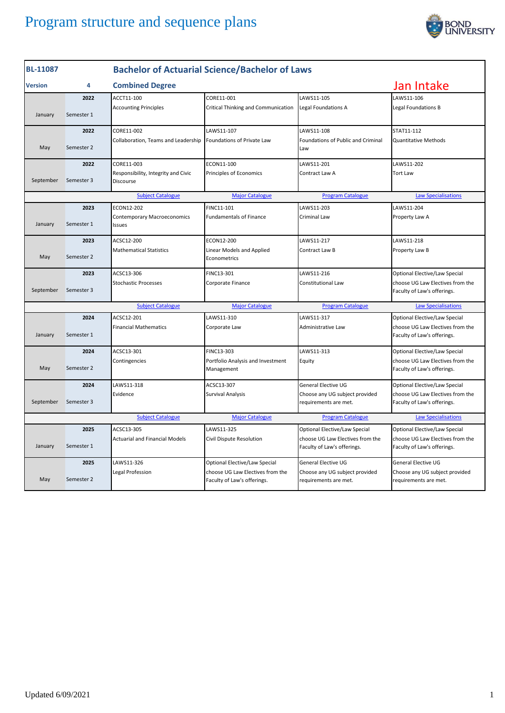

| <b>BL-11087</b> |            |                                                  | <b>Bachelor of Actuarial Science/Bachelor of Laws</b>           |                                                                 |                                                                 |
|-----------------|------------|--------------------------------------------------|-----------------------------------------------------------------|-----------------------------------------------------------------|-----------------------------------------------------------------|
| Version         | 4          | <b>Combined Degree</b>                           |                                                                 |                                                                 | Jan Intake                                                      |
|                 | 2022       | ACCT11-100                                       | CORE11-001                                                      | LAWS11-105                                                      | LAWS11-106                                                      |
| January         | Semester 1 | <b>Accounting Principles</b>                     | Critical Thinking and Communication                             | Legal Foundations A                                             | Legal Foundations B                                             |
|                 | 2022       | CORE11-002                                       | LAWS11-107                                                      | LAWS11-108                                                      | STAT11-112                                                      |
| May             | Semester 2 | Collaboration, Teams and Leadership              | Foundations of Private Law                                      | Foundations of Public and Criminal<br>Law                       | <b>Quantitative Methods</b>                                     |
|                 | 2022       | CORE11-003                                       | ECON11-100                                                      | LAWS11-201                                                      | LAWS11-202                                                      |
| September       | Semester 3 | Responsibility, Integrity and Civic<br>Discourse | Principles of Economics                                         | Contract Law A                                                  | <b>Tort Law</b>                                                 |
|                 |            | <b>Subject Catalogue</b>                         | <b>Major Catalogue</b>                                          | <b>Program Catalogue</b>                                        | <b>Law Specialisations</b>                                      |
|                 | 2023       | ECON12-202                                       | FINC11-101                                                      | LAWS11-203                                                      | LAWS11-204                                                      |
| January         | Semester 1 | Contemporary Macroeconomics<br>Issues            | <b>Fundamentals of Finance</b>                                  | Criminal Law                                                    | Property Law A                                                  |
|                 | 2023       | ACSC12-200                                       | ECON12-200                                                      | LAWS11-217                                                      | LAWS11-218                                                      |
| May             | Semester 2 | <b>Mathematical Statistics</b>                   | Linear Models and Applied<br>Econometrics                       | Contract Law B                                                  | Property Law B                                                  |
|                 | 2023       | ACSC13-306                                       | FINC13-301                                                      | LAWS11-216                                                      | Optional Elective/Law Special                                   |
| September       | Semester 3 | <b>Stochastic Processes</b>                      | Corporate Finance                                               | Constitutional Law                                              | choose UG Law Electives from the<br>Faculty of Law's offerings. |
|                 |            | <b>Subject Catalogue</b>                         | <b>Major Catalogue</b>                                          | <b>Program Catalogue</b>                                        | <b>Law Specialisations</b>                                      |
|                 | 2024       | ACSC12-201                                       | LAWS11-310                                                      | LAWS11-317                                                      | Optional Elective/Law Special                                   |
| January         | Semester 1 | <b>Financial Mathematics</b>                     | Corporate Law                                                   | Administrative Law                                              | choose UG Law Electives from the<br>Faculty of Law's offerings. |
|                 | 2024       | ACSC13-301                                       | FINC13-303                                                      | LAWS11-313                                                      | Optional Elective/Law Special                                   |
| May             | Semester 2 | Contingencies                                    | Portfolio Analysis and Investment<br>Management                 | Equity                                                          | choose UG Law Electives from the<br>Faculty of Law's offerings. |
|                 | 2024       | LAWS11-318                                       | ACSC13-307                                                      | General Elective UG                                             | Optional Elective/Law Special                                   |
| September       | Semester 3 | Evidence                                         | Survival Analysis                                               | Choose any UG subject provided<br>requirements are met.         | choose UG Law Electives from the<br>Faculty of Law's offerings. |
|                 |            | <b>Subject Catalogue</b>                         | <b>Major Catalogue</b>                                          | <b>Program Catalogue</b>                                        | <b>Law Specialisations</b>                                      |
|                 | 2025       | ACSC13-305                                       | LAWS11-325                                                      | Optional Elective/Law Special                                   | Optional Elective/Law Special                                   |
| January         | Semester 1 | <b>Actuarial and Financial Models</b>            | Civil Dispute Resolution                                        | choose UG Law Electives from the<br>Faculty of Law's offerings. | choose UG Law Electives from the<br>Faculty of Law's offerings. |
|                 | 2025       | LAWS11-326                                       | Optional Elective/Law Special                                   | General Elective UG                                             | General Elective UG                                             |
| May             | Semester 2 | Legal Profession                                 | choose UG Law Electives from the<br>Faculty of Law's offerings. | Choose any UG subject provided<br>requirements are met.         | Choose any UG subject provided<br>requirements are met.         |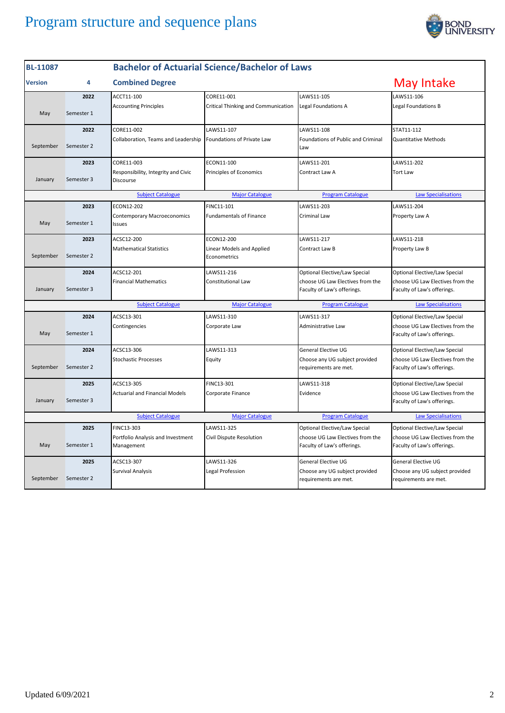

| <b>BL-11087</b>                                                                                              |            | <b>Bachelor of Actuarial Science/Bachelor of Laws</b> |                                           |                                                                 |                                                                 |
|--------------------------------------------------------------------------------------------------------------|------------|-------------------------------------------------------|-------------------------------------------|-----------------------------------------------------------------|-----------------------------------------------------------------|
| <b>Version</b>                                                                                               | 4          | <b>Combined Degree</b>                                |                                           |                                                                 | May Intake                                                      |
|                                                                                                              | 2022       | ACCT11-100                                            | CORE11-001                                | LAWS11-105                                                      | LAWS11-106                                                      |
| May                                                                                                          | Semester 1 | <b>Accounting Principles</b>                          | Critical Thinking and Communication       | Legal Foundations A                                             | Legal Foundations B                                             |
|                                                                                                              | 2022       | CORE11-002                                            | LAWS11-107                                | LAWS11-108                                                      | STAT11-112                                                      |
| September                                                                                                    | Semester 2 | Collaboration, Teams and Leadership                   | Foundations of Private Law                | Foundations of Public and Criminal<br>Law                       | <b>Quantitative Methods</b>                                     |
|                                                                                                              | 2023       | CORE11-003                                            | ECON11-100                                | LAWS11-201                                                      | LAWS11-202                                                      |
| January                                                                                                      | Semester 3 | Responsibility, Integrity and Civic<br>Discourse      | Principles of Economics                   | Contract Law A                                                  | <b>Tort Law</b>                                                 |
|                                                                                                              |            | <b>Subject Catalogue</b>                              | <b>Major Catalogue</b>                    | <b>Program Catalogue</b>                                        | <b>Law Specialisations</b>                                      |
|                                                                                                              | 2023       | ECON12-202                                            | FINC11-101                                | AWS11-203                                                       | LAWS11-204                                                      |
| May                                                                                                          | Semester 1 | <b>Contemporary Macroeconomics</b><br>Issues          | <b>Fundamentals of Finance</b>            | <b>Criminal Law</b>                                             | Property Law A                                                  |
|                                                                                                              | 2023       | ACSC12-200                                            | ECON12-200                                | LAWS11-217                                                      | LAWS11-218                                                      |
| September                                                                                                    | Semester 2 | <b>Mathematical Statistics</b>                        | Linear Models and Applied<br>Econometrics | Contract Law B                                                  | Property Law B                                                  |
|                                                                                                              | 2024       | ACSC12-201                                            | LAWS11-216                                | Optional Elective/Law Special                                   | Optional Elective/Law Special                                   |
| January                                                                                                      | Semester 3 | <b>Financial Mathematics</b>                          | <b>Constitutional Law</b>                 | choose UG Law Electives from the<br>Faculty of Law's offerings. | choose UG Law Electives from the<br>Faculty of Law's offerings. |
|                                                                                                              |            | <b>Subject Catalogue</b>                              | <b>Major Catalogue</b>                    | <b>Program Catalogue</b>                                        | <b>Law Specialisations</b>                                      |
|                                                                                                              | 2024       | ACSC13-301                                            | LAWS11-310                                | LAWS11-317                                                      | Optional Elective/Law Special                                   |
| May                                                                                                          | Semester 1 | Contingencies                                         | Corporate Law                             | Administrative Law                                              | choose UG Law Electives from the<br>Faculty of Law's offerings. |
|                                                                                                              | 2024       | ACSC13-306                                            | LAWS11-313                                | General Elective UG                                             | Optional Elective/Law Special                                   |
| September                                                                                                    | Semester 2 | <b>Stochastic Processes</b>                           | Equity                                    | Choose any UG subject provided<br>requirements are met.         | choose UG Law Electives from the<br>Faculty of Law's offerings. |
|                                                                                                              | 2025       | ACSC13-305                                            | FINC13-301                                | LAWS11-318                                                      | Optional Elective/Law Special                                   |
| January                                                                                                      | Semester 3 | <b>Actuarial and Financial Models</b>                 | Corporate Finance                         | Evidence                                                        | choose UG Law Electives from the<br>Faculty of Law's offerings. |
| <b>Subject Catalogue</b><br><b>Major Catalogue</b><br><b>Program Catalogue</b><br><b>Law Specialisations</b> |            |                                                       |                                           |                                                                 |                                                                 |
|                                                                                                              | 2025       | FINC13-303                                            | LAWS11-325                                | Optional Elective/Law Special                                   | Optional Elective/Law Special                                   |
| May                                                                                                          | Semester 1 | Portfolio Analysis and Investment<br>Management       | Civil Dispute Resolution                  | choose UG Law Electives from the<br>Faculty of Law's offerings. | choose UG Law Electives from the<br>Faculty of Law's offerings. |
|                                                                                                              | 2025       | ACSC13-307                                            | LAWS11-326                                | General Elective UG                                             | General Elective UG                                             |
| September                                                                                                    | Semester 2 | <b>Survival Analysis</b>                              | Legal Profession                          | Choose any UG subject provided<br>requirements are met.         | Choose any UG subject provided<br>requirements are met.         |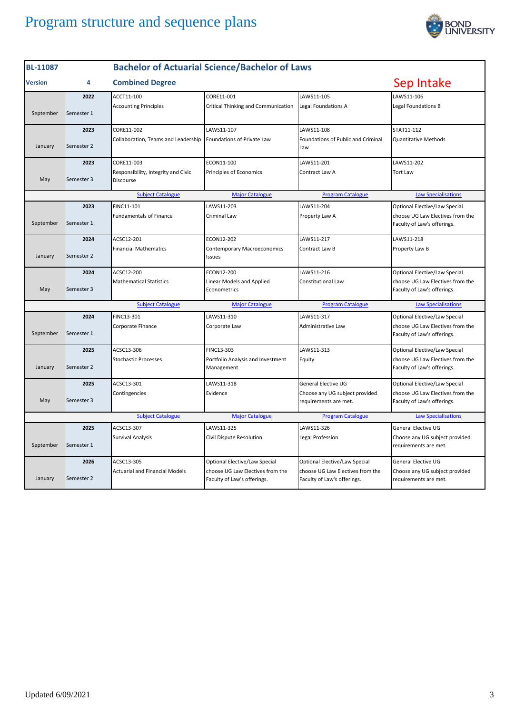

| <b>BL-11087</b>                                                                                              |            |                                                  | <b>Bachelor of Actuarial Science/Bachelor of Laws</b>           |                                                                 |                                                                 |  |
|--------------------------------------------------------------------------------------------------------------|------------|--------------------------------------------------|-----------------------------------------------------------------|-----------------------------------------------------------------|-----------------------------------------------------------------|--|
| <b>Version</b>                                                                                               | 4          | <b>Combined Degree</b>                           |                                                                 |                                                                 | Sep Intake                                                      |  |
|                                                                                                              | 2022       | ACCT11-100                                       | CORE11-001                                                      | LAWS11-105                                                      | LAWS11-106                                                      |  |
| September                                                                                                    | Semester 1 | <b>Accounting Principles</b>                     | Critical Thinking and Communication                             | Legal Foundations A                                             | Legal Foundations B                                             |  |
|                                                                                                              | 2023       | CORE11-002                                       | LAWS11-107                                                      | LAWS11-108                                                      | STAT11-112                                                      |  |
| January                                                                                                      | Semester 2 | Collaboration, Teams and Leadership              | Foundations of Private Law                                      | Foundations of Public and Criminal<br>Law                       | <b>Quantitative Methods</b>                                     |  |
|                                                                                                              | 2023       | CORE11-003                                       | ECON11-100                                                      | LAWS11-201                                                      | LAWS11-202                                                      |  |
| May                                                                                                          | Semester 3 | Responsibility, Integrity and Civic<br>Discourse | Principles of Economics                                         | Contract Law A                                                  | <b>Tort Law</b>                                                 |  |
|                                                                                                              |            | <b>Subject Catalogue</b>                         | <b>Major Catalogue</b>                                          | <b>Program Catalogue</b>                                        | <b>Law Specialisations</b>                                      |  |
|                                                                                                              | 2023       | FINC11-101                                       | LAWS11-203                                                      | LAWS11-204                                                      | Optional Elective/Law Special                                   |  |
| September                                                                                                    | Semester 1 | <b>Fundamentals of Finance</b>                   | Criminal Law                                                    | Property Law A                                                  | choose UG Law Electives from the<br>Faculty of Law's offerings. |  |
|                                                                                                              | 2024       | ACSC12-201                                       | ECON12-202                                                      | LAWS11-217                                                      | LAWS11-218                                                      |  |
| January                                                                                                      | Semester 2 | <b>Financial Mathematics</b>                     | <b>Contemporary Macroeconomics</b><br>Issues                    | Contract Law B                                                  | Property Law B                                                  |  |
|                                                                                                              | 2024       | ACSC12-200                                       | ECON12-200                                                      | LAWS11-216                                                      | Optional Elective/Law Special                                   |  |
| May                                                                                                          | Semester 3 | <b>Mathematical Statistics</b>                   | Linear Models and Applied<br>Econometrics                       | <b>Constitutional Law</b>                                       | choose UG Law Electives from the<br>Faculty of Law's offerings. |  |
|                                                                                                              |            | <b>Subject Catalogue</b>                         | <b>Major Catalogue</b>                                          | <b>Program Catalogue</b>                                        | <b>Law Specialisations</b>                                      |  |
|                                                                                                              | 2024       | FINC13-301                                       | LAWS11-310                                                      | LAWS11-317                                                      | Optional Elective/Law Special                                   |  |
| September                                                                                                    | Semester 1 | Corporate Finance                                | Corporate Law                                                   | Administrative Law                                              | choose UG Law Electives from the<br>Faculty of Law's offerings. |  |
|                                                                                                              | 2025       | ACSC13-306                                       | FINC13-303                                                      | LAWS11-313                                                      | Optional Elective/Law Special                                   |  |
| January                                                                                                      | Semester 2 | <b>Stochastic Processes</b>                      | Portfolio Analysis and Investment<br>Management                 | Equity                                                          | choose UG Law Electives from the<br>Faculty of Law's offerings. |  |
|                                                                                                              | 2025       | ACSC13-301                                       | LAWS11-318                                                      | General Elective UG                                             | Optional Elective/Law Special                                   |  |
| May                                                                                                          | Semester 3 | Contingencies                                    | Evidence                                                        | Choose any UG subject provided<br>requirements are met.         | choose UG Law Electives from the<br>Faculty of Law's offerings. |  |
| <b>Subject Catalogue</b><br><b>Major Catalogue</b><br><b>Program Catalogue</b><br><b>Law Specialisations</b> |            |                                                  |                                                                 |                                                                 |                                                                 |  |
|                                                                                                              | 2025       | ACSC13-307                                       | LAWS11-325                                                      | LAWS11-326                                                      | General Elective UG                                             |  |
| September                                                                                                    | Semester 1 | <b>Survival Analysis</b>                         | Civil Dispute Resolution                                        | Legal Profession                                                | Choose any UG subject provided<br>requirements are met.         |  |
|                                                                                                              | 2026       | ACSC13-305                                       | Optional Elective/Law Special                                   | Optional Elective/Law Special                                   | <b>General Elective UG</b>                                      |  |
| January                                                                                                      | Semester 2 | <b>Actuarial and Financial Models</b>            | choose UG Law Electives from the<br>Faculty of Law's offerings. | choose UG Law Electives from the<br>Faculty of Law's offerings. | Choose any UG subject provided<br>requirements are met.         |  |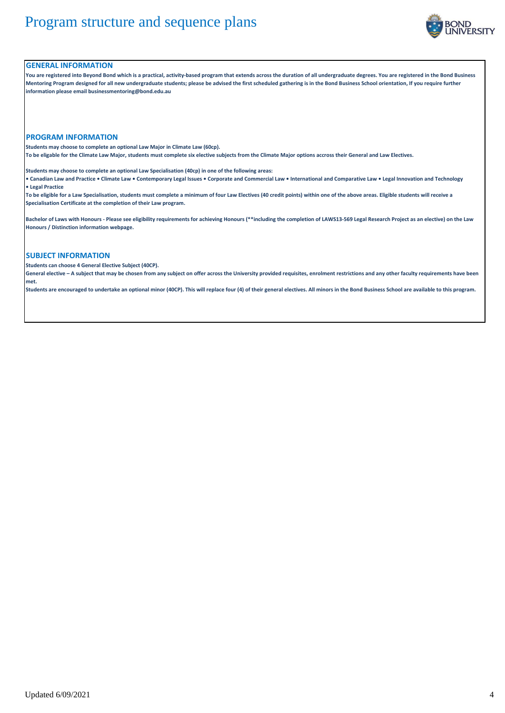

### **GENERAL INFORMATION**

**You are registered into Beyond Bond which is a practical, activity-based program that extends across the duration of all undergraduate degrees. You are registered in the Bond Business Mentoring Program designed for all new undergraduate students; please be advised the first scheduled gathering is in the Bond Business School orientation, If you require further information please email businessmentoring@bond.edu.au**

#### **PROGRAM INFORMATION**

**Students may choose to complete an optional Law Major in Climate Law (60cp).** 

**To be eligable for the Climate Law Major, students must complete six elective subjects from the Climate Major options accross their General and Law Electives.**

**Students may choose to complete an optional Law Specialisation (40cp) in one of the following areas:**

**• Canadian Law and Practice • Climate Law • Contemporary Legal Issues • Corporate and Commercial Law • International and Comparative Law • Legal Innovation and Technology • Legal Practice**

**To be eligible for a Law Specialisation, students must complete a minimum of four Law Electives (40 credit points) within one of the above areas. Eligible students will receive a Specialisation Certificate at the completion of their Law program.**

**Bachelor of Laws with Honours - Please see eligibility requirements for achieving Honours (\*\*including the completion of LAWS13-569 Legal Research Project as an elective) on the Law Honours / Distinction information webpage.**

### **SUBJECT INFORMATION**

**Students can choose 4 General Elective Subject (40CP).**

**General elective – A subject that may be chosen from any subject on offer across the University provided requisites, enrolment restrictions and any other faculty requirements have been met.**

**Students are encouraged to undertake an optional minor (40CP). This will replace four (4) of their general electives. All minors in the Bond Business School are available to this program.**